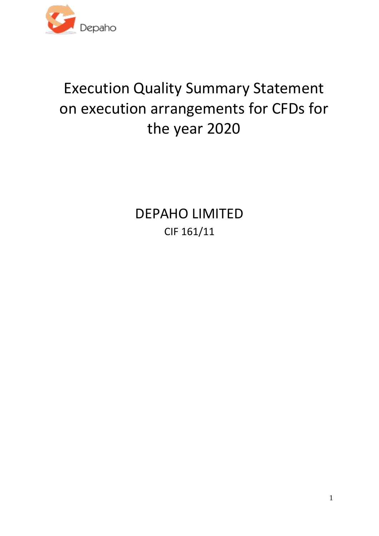

# Execution Quality Summary Statement on execution arrangements for CFDs for the year 2020

DEPAHO LIMITED CIF 161/11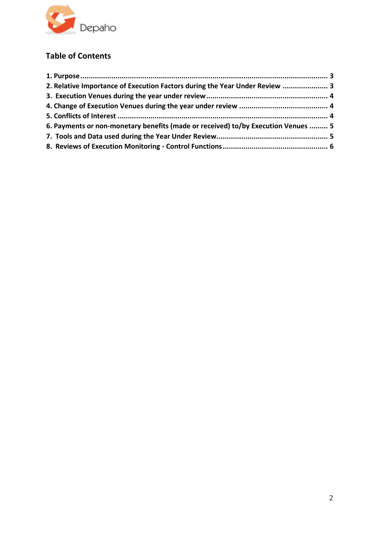

# **Table of Contents**

| 2. Relative Importance of Execution Factors during the Year Under Review  3       |  |
|-----------------------------------------------------------------------------------|--|
|                                                                                   |  |
|                                                                                   |  |
|                                                                                   |  |
| 6. Payments or non-monetary benefits (made or received) to/by Execution Venues  5 |  |
|                                                                                   |  |
|                                                                                   |  |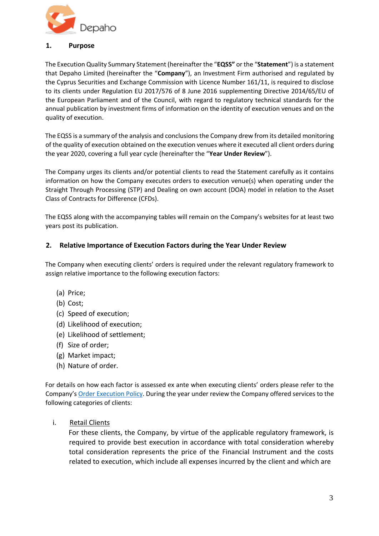

#### <span id="page-2-0"></span>**1. Purpose**

The Execution Quality Summary Statement (hereinafter the "**EQSS"** or the "**Statement**") is a statement that Depaho Limited (hereinafter the "**Company**"), an Investment Firm authorised and regulated by the Cyprus Securities and Exchange Commission with Licence Number 161/11, is required to disclose to its clients under Regulation EU 2017/576 of 8 June 2016 supplementing Directive 2014/65/EU of the European Parliament and of the Council, with regard to regulatory technical standards for the annual publication by investment firms of information on the identity of execution venues and on the quality of execution.

The EQSS is a summary of the analysis and conclusions the Company drew from its detailed monitoring of the quality of execution obtained on the execution venues where it executed all client orders during the year 2020, covering a full year cycle (hereinafter the "**Year Under Review**").

The Company urges its clients and/or potential clients to read the Statement carefully as it contains information on how the Company executes orders to execution venue(s) when operating under the Straight Through Processing (STP) and Dealing on own account (DOA) model in relation to the Asset Class of Contracts for Difference (CFDs).

The EQSS along with the accompanying tables will remain on the Company's websites for at least two years post its publication.

# <span id="page-2-1"></span>**2. Relative Importance of Execution Factors during the Year Under Review**

The Company when executing clients' orders is required under the relevant regulatory framework to assign relative importance to the following execution factors:

- (a) Price;
- (b) Cost;
- (c) Speed of execution;
- (d) Likelihood of execution;
- (e) Likelihood of settlement;
- (f) Size of order;
- (g) Market impact;
- (h) Nature of order.

For details on how each factor is assessed ex ante when executing clients' orders please refer to the Company's [Order Execution Policy.](http://preg.fxgm.com/assets/FXGM/en/Documents/service-agreement-and-appendices.pdf#page=40) [D](http://preg.fxgm.com/assets/FXGM/en/Documents/service-agreement-and-appendices.pdf#page=40)uring the year under review the Company offered services to the following categories of clients:

i. Retail Clients

For these clients, the Company, by virtue of the applicable regulatory framework, is required to provide best execution in accordance with total consideration whereby total consideration represents the price of the Financial Instrument and the costs related to execution, which include all expenses incurred by the client and which are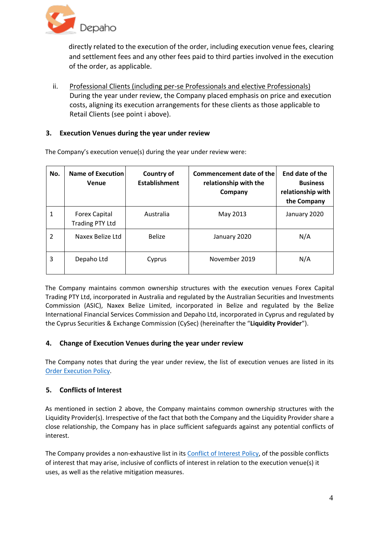

directly related to the execution of the order, including execution venue fees, clearing and settlement fees and any other fees paid to third parties involved in the execution of the order, as applicable.

ii. Professional Clients (including per-se Professionals and elective Professionals) During the year under review, the Company placed emphasis on price and execution costs, aligning its execution arrangements for these clients as those applicable to Retail Clients (see point i above).

## <span id="page-3-0"></span>**3. Execution Venues during the year under review**

| No.            | <b>Name of Execution</b><br>Venue              | <b>Country of</b><br><b>Establishment</b> | Commencement date of the<br>relationship with the<br>Company | End date of the<br><b>Business</b><br>relationship with<br>the Company |
|----------------|------------------------------------------------|-------------------------------------------|--------------------------------------------------------------|------------------------------------------------------------------------|
| 1              | <b>Forex Capital</b><br><b>Trading PTY Ltd</b> | Australia                                 | May 2013                                                     | January 2020                                                           |
| $\mathfrak{p}$ | Naxex Belize Ltd                               | <b>Belize</b>                             | January 2020                                                 | N/A                                                                    |
| 3              | Depaho Ltd                                     | Cyprus                                    | November 2019                                                | N/A                                                                    |

The Company's execution venue(s) during the year under review were:

The Company maintains common ownership structures with the execution venues Forex Capital Trading PTY Ltd, incorporated in Australia and regulated by the Australian Securities and Investments Commission (ASIC), Naxex Belize Limited, incorporated in Belize and regulated by the Belize International Financial Services Commission and Depaho Ltd, incorporated in Cyprus and regulated by the Cyprus Securities & Exchange Commission (CySec) (hereinafter the "**Liquidity Provider**").

#### <span id="page-3-1"></span>**4. Change of Execution Venues during the year under review**

The Company notes that during the year under review, the list of execution venues are listed in its [Order Execution Policy.](http://preg.fxgm.com/assets/FXGM/en/Documents/service-agreement-and-appendices.pdf#page=40) 

# <span id="page-3-2"></span>**5. Conflicts of Interest**

As mentioned in section 2 above, the Company maintains common ownership structures with the Liquidity Provider(s). Irrespective of the fact that both the Company and the Liquidity Provider share a close relationship, the Company has in place sufficient safeguards against any potential conflicts of interest.

The Company provides a non-exhaustive list in its [Conflict of Interest Policy,](http://preg.fxgm.com/assets/FXGM/en/Documents/service-agreement-and-appendices.pdf#page=54) [o](http://preg.fxgm.com/assets/FXGM/en/Documents/service-agreement-and-appendices.pdf#page=54)f the possible conflicts of interest that may arise, inclusive of conflicts of interest in relation to the execution venue(s) it uses, as well as the relative mitigation measures.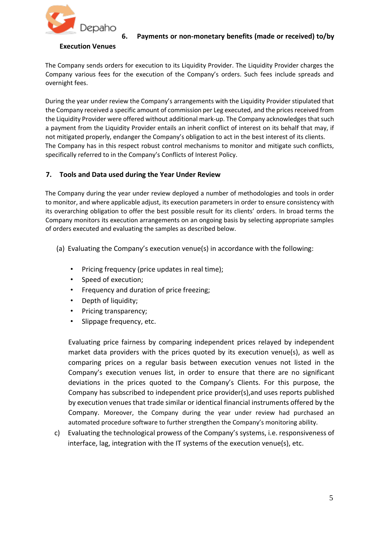

#### <span id="page-4-0"></span>**6. Payments or non-monetary benefits (made or received) to/by**

#### **Execution Venues**

The Company sends orders for execution to its Liquidity Provider. The Liquidity Provider charges the Company various fees for the execution of the Company's orders. Such fees include spreads and overnight fees.

During the year under review the Company's arrangements with the Liquidity Provider stipulated that the Company received a specific amount of commission per Leg executed, and the prices received from the Liquidity Provider were offered without additional mark-up. The Company acknowledges that such a payment from the Liquidity Provider entails an inherit conflict of interest on its behalf that may, if not mitigated properly, endanger the Company's obligation to act in the best interest of its clients. The Company has in this respect robust control mechanisms to monitor and mitigate such conflicts, specifically referred to in the Company's Conflicts of Interest Policy.

### <span id="page-4-1"></span>**7. Tools and Data used during the Year Under Review**

The Company during the year under review deployed a number of methodologies and tools in order to monitor, and where applicable adjust, its execution parameters in order to ensure consistency with its overarching obligation to offer the best possible result for its clients' orders. In broad terms the Company monitors its execution arrangements on an ongoing basis by selecting appropriate samples of orders executed and evaluating the samples as described below.

- (a) Evaluating the Company's execution venue(s) in accordance with the following:
	- Pricing frequency (price updates in real time);
	- Speed of execution;
	- Frequency and duration of price freezing;
	- Depth of liquidity;
	- Pricing transparency;
	- Slippage frequency, etc.

Evaluating price fairness by comparing independent prices relayed by independent market data providers with the prices quoted by its execution venue(s), as well as comparing prices on a regular basis between execution venues not listed in the Company's execution venues list, in order to ensure that there are no significant deviations in the prices quoted to the Company's Clients. For this purpose, the Company has subscribed to independent price provider(s),and uses reports published by execution venues that trade similar or identical financial instruments offered by the Company. Moreover, the Company during the year under review had purchased an automated procedure software to further strengthen the Company's monitoring ability.

c) Evaluating the technological prowess of the Company's systems, i.e. responsiveness of interface, lag, integration with the IT systems of the execution venue(s), etc.